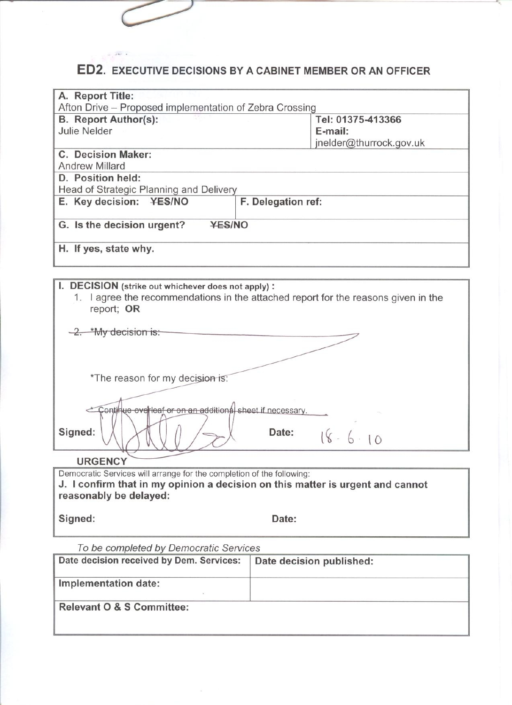# ED2. EXECUTIVE DECISIONS BY A CABINET MEMBER OR AN OFFICER

| A. Report Title:                                        |                         |  |  |  |
|---------------------------------------------------------|-------------------------|--|--|--|
| Afton Drive – Proposed implementation of Zebra Crossing |                         |  |  |  |
| <b>B.</b> Report Author(s):                             | Tel: 01375-413366       |  |  |  |
| Julie Nelder                                            | E-mail:                 |  |  |  |
|                                                         | jnelder@thurrock.gov.uk |  |  |  |
| <b>C. Decision Maker:</b>                               |                         |  |  |  |
| <b>Andrew Millard</b>                                   |                         |  |  |  |
| D. Position held:                                       |                         |  |  |  |
| Head of Strategic Planning and Delivery                 |                         |  |  |  |
| E. Key decision: YES/NO                                 | F. Delegation ref:      |  |  |  |
| <b>YES/NO</b><br>G. Is the decision urgent?             |                         |  |  |  |
| H. If yes, state why.                                   |                         |  |  |  |
|                                                         |                         |  |  |  |

| I. DECISION (strike out whichever does not apply):<br>1. I agree the recommendations in the attached report for the reasons given in the<br>report; OR |
|--------------------------------------------------------------------------------------------------------------------------------------------------------|
| 2. *My decision is:                                                                                                                                    |
| *The reason for my decision is:                                                                                                                        |
| Continue overleaf or on an additional sheet if necessary.                                                                                              |
| Signed:<br>Date:<br>$18 - 6 \cdot 10$                                                                                                                  |

#### **URGENCY**

Democratic Services will arrange for the completion of the following: J. I confirm that in my opinion a decision on this matter is urgent and cannot reasonably be delayed:

Signed:

Date:

To be completed by Democratic Services

| Date decision received by Dem. Services: | Date decision published: |
|------------------------------------------|--------------------------|
| Implementation date:                     |                          |
| Relevant O & S Committee:                |                          |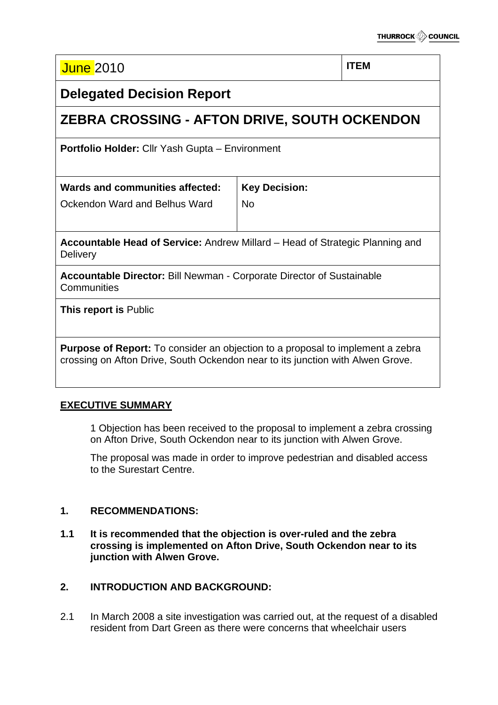| <b>June 2010</b> |  | <b>ITEM</b> |
|------------------|--|-------------|
|------------------|--|-------------|

# **Delegated Decision Report**

# **ZEBRA CROSSING - AFTON DRIVE, SOUTH OCKENDON**

**Portfolio Holder:** Cllr Yash Gupta – Environment

| Wards and communities affected: $ $ Key Decision: |    |
|---------------------------------------------------|----|
| Ockendon Ward and Belhus Ward                     | No |

**Accountable Head of Service:** Andrew Millard – Head of Strategic Planning and **Delivery** 

**Accountable Director:** Bill Newman - Corporate Director of Sustainable **Communities** 

**This report is** Public

**Purpose of Report:** To consider an objection to a proposal to implement a zebra crossing on Afton Drive, South Ockendon near to its junction with Alwen Grove.

# **EXECUTIVE SUMMARY**

1 Objection has been received to the proposal to implement a zebra crossing on Afton Drive, South Ockendon near to its junction with Alwen Grove.

The proposal was made in order to improve pedestrian and disabled access to the Surestart Centre.

# **1. RECOMMENDATIONS:**

**1.1 It is recommended that the objection is over-ruled and the zebra crossing is implemented on Afton Drive, South Ockendon near to its junction with Alwen Grove.** 

# **2. INTRODUCTION AND BACKGROUND:**

2.1 In March 2008 a site investigation was carried out, at the request of a disabled resident from Dart Green as there were concerns that wheelchair users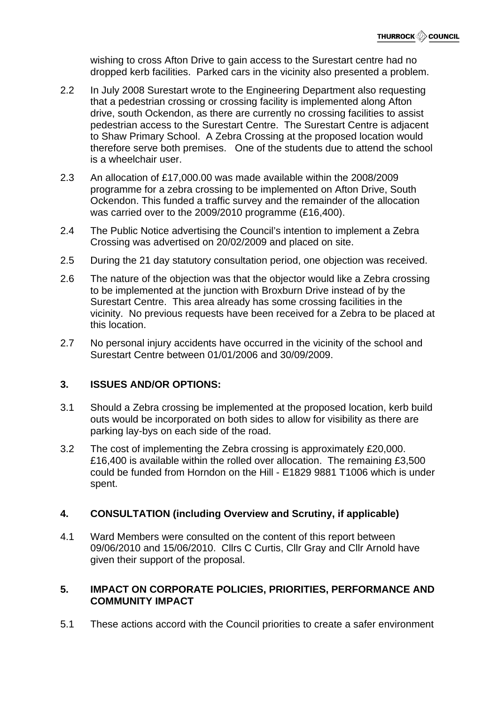wishing to cross Afton Drive to gain access to the Surestart centre had no dropped kerb facilities. Parked cars in the vicinity also presented a problem.

- 2.2 In July 2008 Surestart wrote to the Engineering Department also requesting that a pedestrian crossing or crossing facility is implemented along Afton drive, south Ockendon, as there are currently no crossing facilities to assist pedestrian access to the Surestart Centre. The Surestart Centre is adjacent to Shaw Primary School. A Zebra Crossing at the proposed location would therefore serve both premises. One of the students due to attend the school is a wheelchair user.
- 2.3 An allocation of £17,000.00 was made available within the 2008/2009 programme for a zebra crossing to be implemented on Afton Drive, South Ockendon. This funded a traffic survey and the remainder of the allocation was carried over to the 2009/2010 programme (£16,400).
- 2.4 The Public Notice advertising the Council's intention to implement a Zebra Crossing was advertised on 20/02/2009 and placed on site.
- 2.5 During the 21 day statutory consultation period, one objection was received.
- 2.6 The nature of the objection was that the objector would like a Zebra crossing to be implemented at the junction with Broxburn Drive instead of by the Surestart Centre. This area already has some crossing facilities in the vicinity. No previous requests have been received for a Zebra to be placed at this location.
- 2.7 No personal injury accidents have occurred in the vicinity of the school and Surestart Centre between 01/01/2006 and 30/09/2009.

# **3. ISSUES AND/OR OPTIONS:**

- 3.1 Should a Zebra crossing be implemented at the proposed location, kerb build outs would be incorporated on both sides to allow for visibility as there are parking lay-bys on each side of the road.
- 3.2 The cost of implementing the Zebra crossing is approximately £20,000. £16,400 is available within the rolled over allocation. The remaining £3,500 could be funded from Horndon on the Hill - E1829 9881 T1006 which is under spent.

# **4. CONSULTATION (including Overview and Scrutiny, if applicable)**

4.1 Ward Members were consulted on the content of this report between 09/06/2010 and 15/06/2010. Cllrs C Curtis, Cllr Gray and Cllr Arnold have given their support of the proposal.

### **5. IMPACT ON CORPORATE POLICIES, PRIORITIES, PERFORMANCE AND COMMUNITY IMPACT**

5.1 These actions accord with the Council priorities to create a safer environment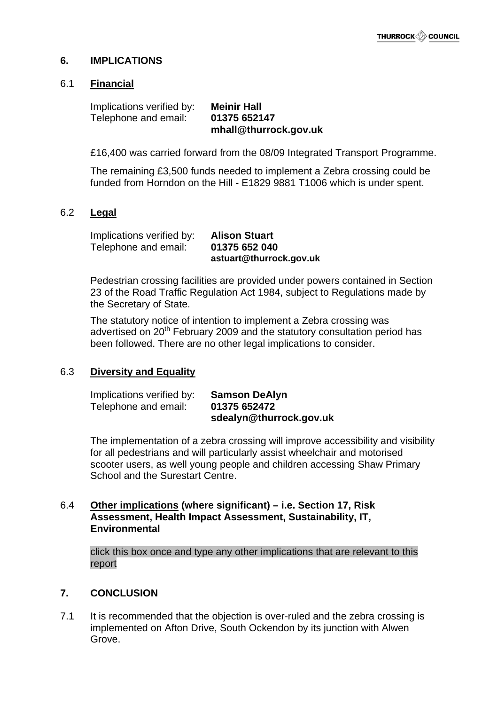#### **6. IMPLICATIONS**

#### 6.1 **Financial**

Implications verified by: **Meinir Hall** Telephone and email: **01375 652147 mhall@thurrock.gov.uk**

£16,400 was carried forward from the 08/09 Integrated Transport Programme.

 The remaining £3,500 funds needed to implement a Zebra crossing could be funded from Horndon on the Hill - E1829 9881 T1006 which is under spent.

#### 6.2 **Legal**

Implications verified by: **Alison Stuart** Telephone and email: **01375 652 040 astuart@thurrock.gov.uk**

Pedestrian crossing facilities are provided under powers contained in Section 23 of the Road Traffic Regulation Act 1984, subject to Regulations made by the Secretary of State.

The statutory notice of intention to implement a Zebra crossing was advertised on  $20<sup>th</sup>$  February 2009 and the statutory consultation period has been followed. There are no other legal implications to consider.

#### 6.3 **Diversity and Equality**

Implications verified by: **Samson DeAlyn** Telephone and email: **01375 652472 sdealyn@thurrock.gov.uk**

The implementation of a zebra crossing will improve accessibility and visibility for all pedestrians and will particularly assist wheelchair and motorised scooter users, as well young people and children accessing Shaw Primary School and the Surestart Centre.

#### 6.4 **Other implications (where significant) – i.e. Section 17, Risk Assessment, Health Impact Assessment, Sustainability, IT, Environmental**

click this box once and type any other implications that are relevant to this report

#### **7. CONCLUSION**

7.1 It is recommended that the objection is over-ruled and the zebra crossing is implemented on Afton Drive, South Ockendon by its junction with Alwen Grove.